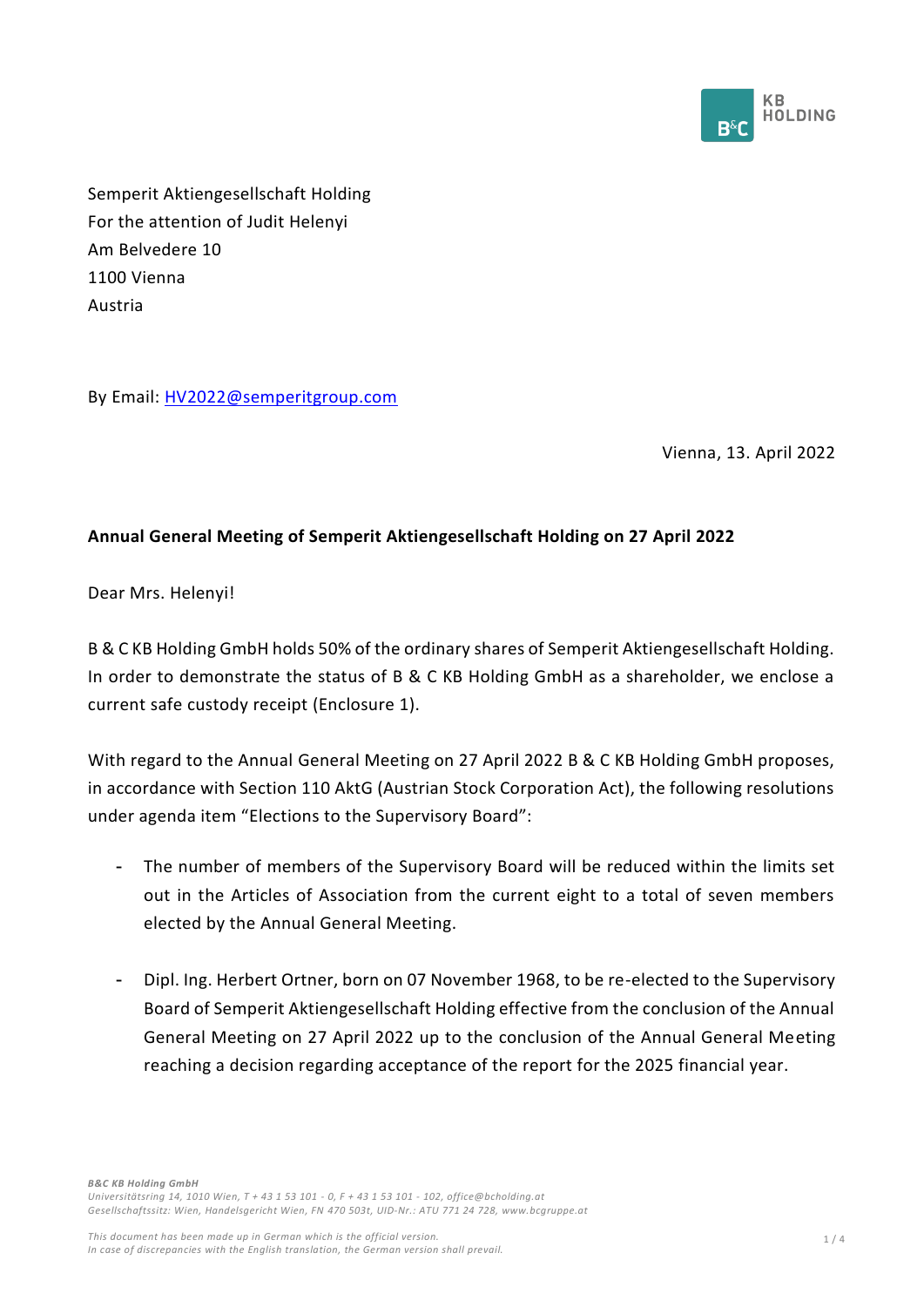

Semperit Aktiengesellschaft Holding For the attention of Judit Helenyi Am Belvedere 10 1100 Vienna Austria

By Email: HV2022@semperitgroup.com

Vienna, 13. April 2022

## **Annual General Meeting of Semperit Aktiengesellschaft Holding on 27 April 2022**

Dear Mrs. Helenyi!

B & C KB Holding GmbH holds 50% of the ordinary shares of Semperit Aktiengesellschaft Holding. In order to demonstrate the status of B & C KB Holding GmbH as a shareholder, we enclose a current safe custody receipt (Enclosure 1).

With regard to the Annual General Meeting on 27 April 2022 B & C KB Holding GmbH proposes, in accordance with Section 110 AktG (Austrian Stock Corporation Act), the following resolutions under agenda item "Elections to the Supervisory Board":

- The number of members of the Supervisory Board will be reduced within the limits set out in the Articles of Association from the current eight to a total of seven members elected by the Annual General Meeting.
- Dipl. Ing. Herbert Ortner, born on 07 November 1968, to be re-elected to the Supervisory Board of Semperit Aktiengesellschaft Holding effective from the conclusion of the Annual General Meeting on 27 April 2022 up to the conclusion of the Annual General Meeting reaching a decision regarding acceptance of the report for the 2025 financial year.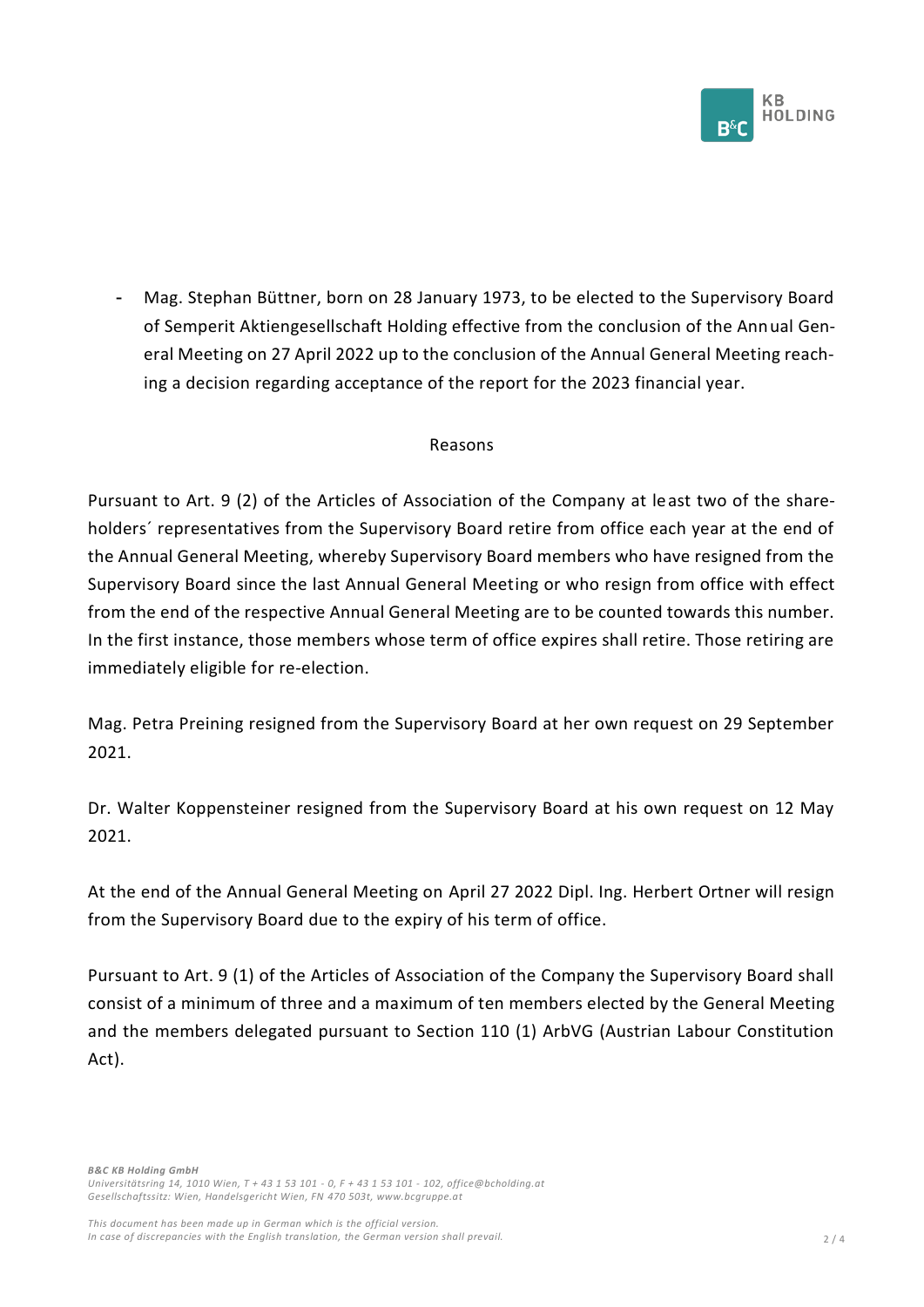

Mag. Stephan Büttner, born on 28 January 1973, to be elected to the Supervisory Board of Semperit Aktiengesellschaft Holding effective from the conclusion of the Annual General Meeting on 27 April 2022 up to the conclusion of the Annual General Meeting reaching a decision regarding acceptance of the report for the 2023 financial year.

#### Reasons

Pursuant to Art. 9 (2) of the Articles of Association of the Company at least two of the shareholders´ representatives from the Supervisory Board retire from office each year at the end of the Annual General Meeting, whereby Supervisory Board members who have resigned from the Supervisory Board since the last Annual General Meeting or who resign from office with effect from the end of the respective Annual General Meeting are to be counted towards this number. In the first instance, those members whose term of office expires shall retire. Those retiring are immediately eligible for re-election.

Mag. Petra Preining resigned from the Supervisory Board at her own request on 29 September 2021.

Dr. Walter Koppensteiner resigned from the Supervisory Board at his own request on 12 May 2021.

At the end of the Annual General Meeting on April 27 2022 Dipl. Ing. Herbert Ortner will resign from the Supervisory Board due to the expiry of his term of office.

Pursuant to Art. 9 (1) of the Articles of Association of the Company the Supervisory Board shall consist of a minimum of three and a maximum of ten members elected by the General Meeting and the members delegated pursuant to Section 110 (1) ArbVG (Austrian Labour Constitution Act).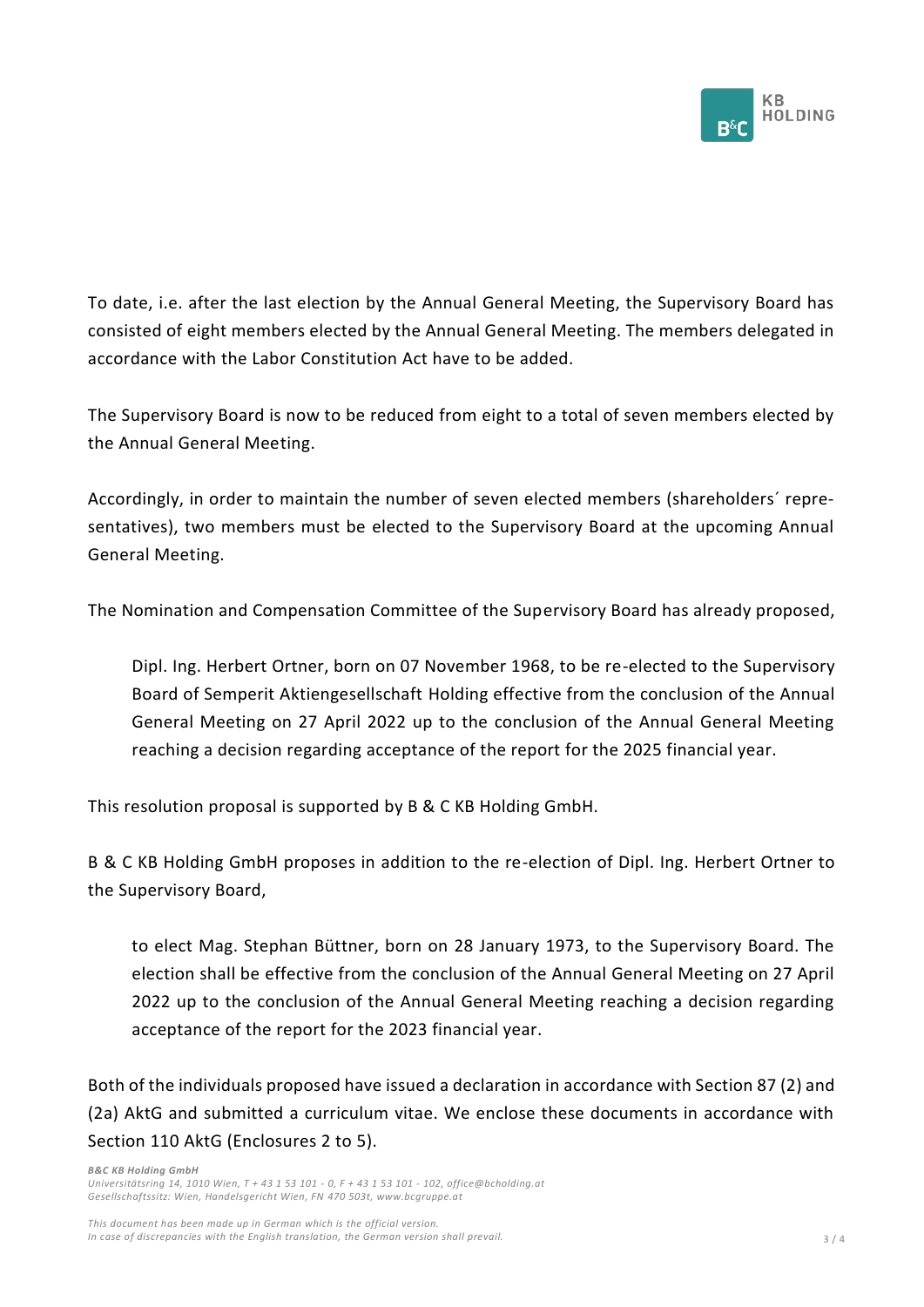

To date, i.e. after the last election by the Annual General Meeting, the Supervisory Board has consisted of eight members elected by the Annual General Meeting. The members delegated in accordance with the Labor Constitution Act have to be added.

The Supervisory Board is now to be reduced from eight to a total of seven members elected by the Annual General Meeting.

Accordingly, in order to maintain the number of seven elected members (shareholders´ representatives), two members must be elected to the Supervisory Board at the upcoming Annual General Meeting.

The Nomination and Compensation Committee of the Supervisory Board has already proposed,

Dipl. Ing. Herbert Ortner, born on 07 November 1968, to be re-elected to the Supervisory Board of Semperit Aktiengesellschaft Holding effective from the conclusion of the Annual General Meeting on 27 April 2022 up to the conclusion of the Annual General Meeting reaching a decision regarding acceptance of the report for the 2025 financial year.

This resolution proposal is supported by B & C KB Holding GmbH.

B & C KB Holding GmbH proposes in addition to the re-election of Dipl. Ing. Herbert Ortner to the Supervisory Board,

to elect Mag. Stephan Büttner, born on 28 January 1973, to the Supervisory Board. The election shall be effective from the conclusion of the Annual General Meeting on 27 April 2022 up to the conclusion of the Annual General Meeting reaching a decision regarding acceptance of the report for the 2023 financial year.

Both of the individuals proposed have issued a declaration in accordance with Section 87 (2) and (2a) AktG and submitted a curriculum vitae. We enclose these documents in accordance with Section 110 AktG (Enclosures 2 to 5).

*B&C KB Holding GmbH Universitätsring 14, 1010 Wien, T + 43 1 53 101 - 0, F + 43 1 53 101 - 102, office@bcholding.at Gesellschaftssitz: Wien, Handelsgericht Wien, FN 470 503t, www.bcgruppe.at*

*This document has been made up in German which is the official version. In case of discrepancies with the English translation, the German version shall prevail.* 3 / 4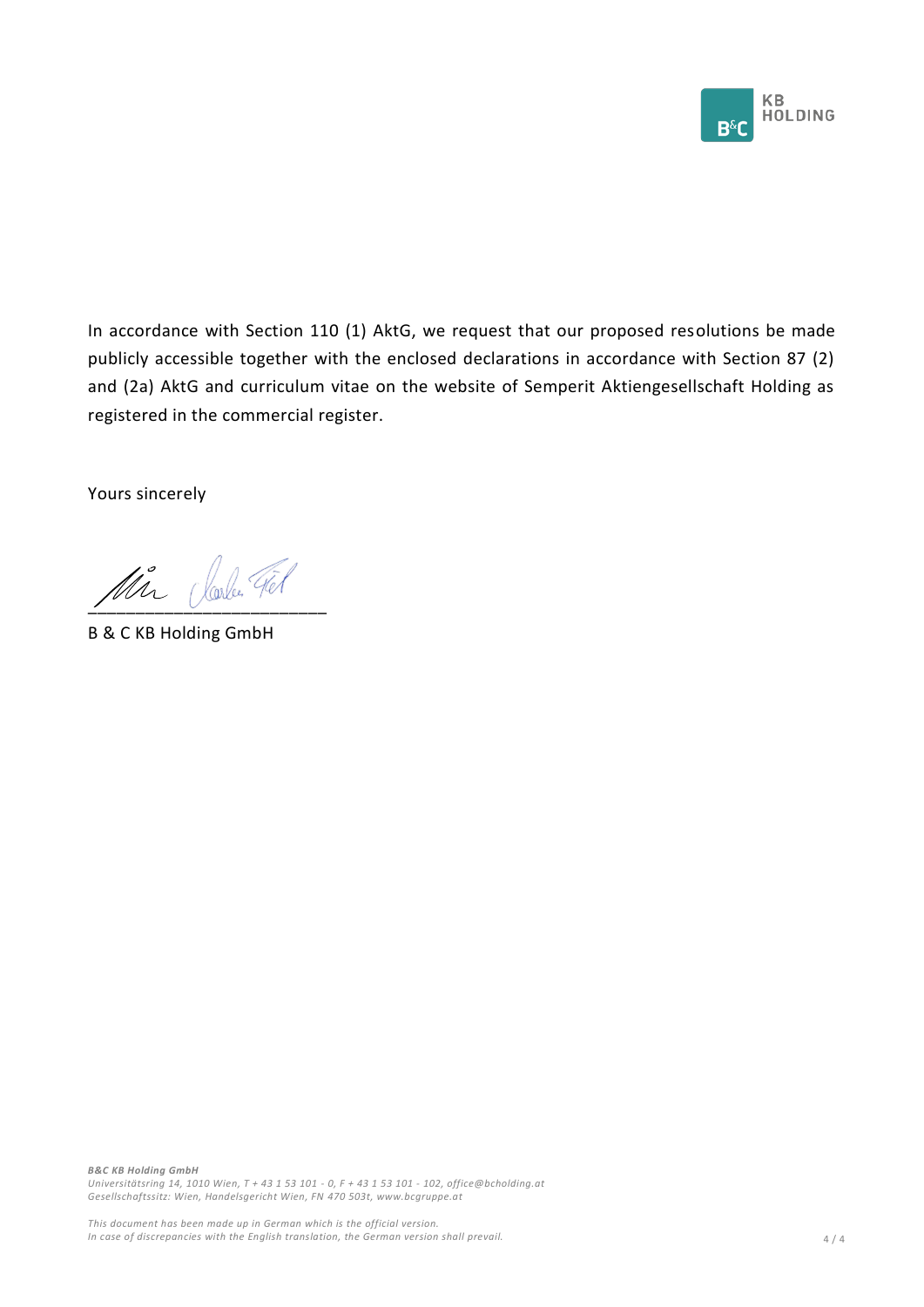

In accordance with Section 110 (1) AktG, we request that our proposed resolutions be made publicly accessible together with the enclosed declarations in accordance with Section 87 (2) and (2a) AktG and curriculum vitae on the website of Semperit Aktiengesellschaft Holding as registered in the commercial register.

Yours sincerely

Ma (looker Fel

B & C KB Holding GmbH

*B&C KB Holding GmbH Universitätsring 14, 1010 Wien, T + 43 1 53 101 - 0, F + 43 1 53 101 - 102, office@bcholding.at Gesellschaftssitz: Wien, Handelsgericht Wien, FN 470 503t, www.bcgruppe.at*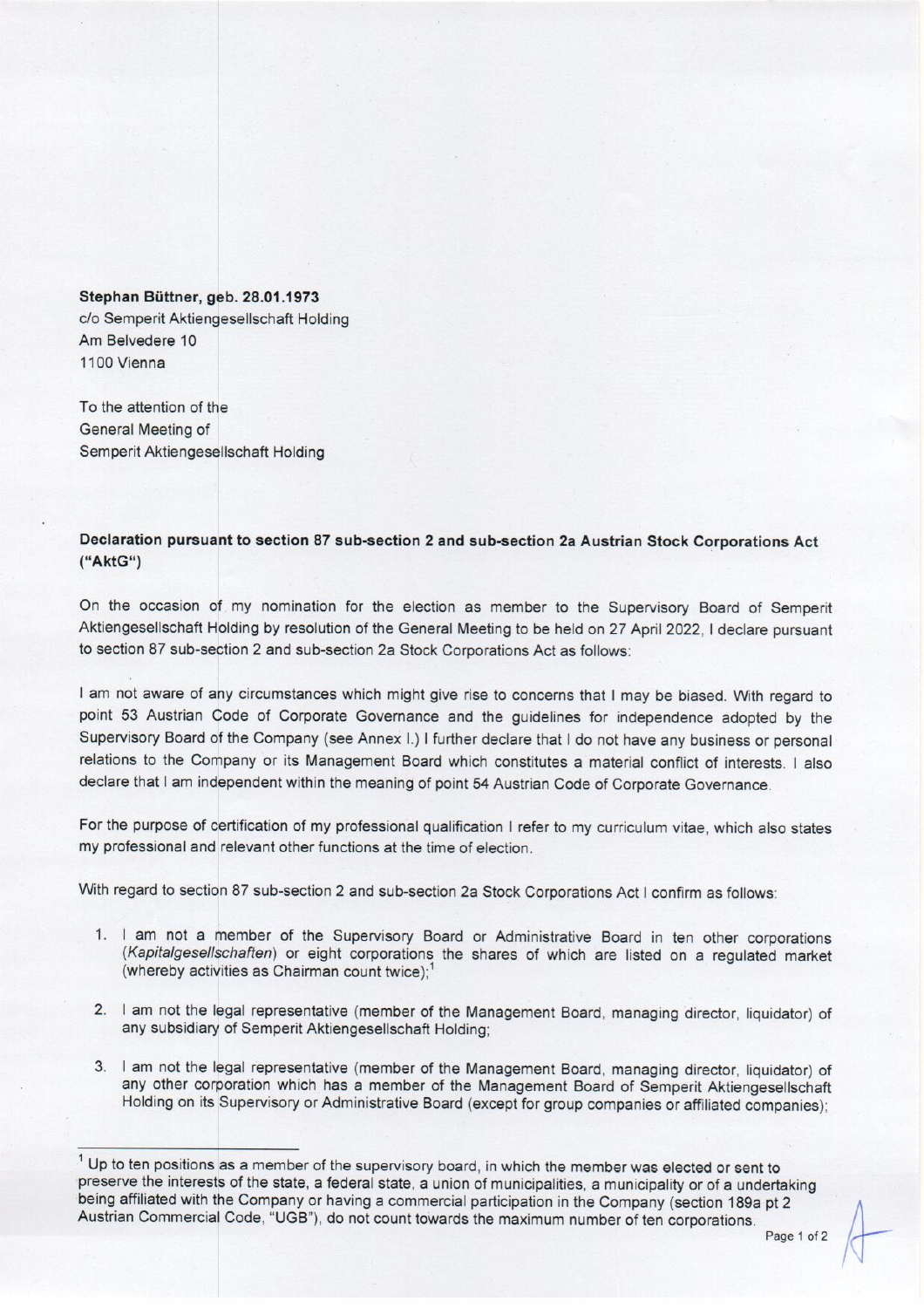#### Stephan Büttner, geb. 28.01.1973

c/o Semperit Aktiengesellschaft Holding Am Belvedere 10 1100 Vienna

To the attention of the General Meeting of Semperit Aktiengesellschaft Holding

Declaration pursuant to section 87 sub-section 2 and sub-section 2a Austrian Stock Corporations Act ("AktG")

On the occasion of my nomination for the election as member to the Supervisory Board of Semperit Aktiengesellschaft Holding by resolution of the General Meeting to be held on 27 April 2022, I declare pursuant to section 87 sub-section 2 and sub-section 2a Stock Corporations Act as follows:

I am not aware of any circumstances which might give rise to concerns that I may be biased. With regard to point 53 Austrian Code of Corporate Governance and the guidelines for independence adopted by the Supervisory Board of the Company (see Annex I.) I further declare that I do not have any business or personal relations to the Company or its Management Board which constitutes a material conflict of interests. I also declare that I am independent within the meaning of point 54 Austrian Code of Corporate Governance.

For the purpose of certification of my professional qualification I refer to my curriculum vitae, which also states my professional and relevant other functions at the time of election.

With regard to section 87 sub-section 2 and sub-section 2a Stock Corporations Act I confirm as follows:

- 1. I am not a member of the Supervisory Board or Administrative Board in ten other corporations (Kapitalgesellschaften) or eight corporations the shares of which are listed on a regulated market (whereby activities as Chairman count twice);<sup>1</sup>
- 2. I am not the legal representative (member of the Management Board, managing director, liquidator) of any subsidiary of Semperit Aktiengesellschaft Holding;
- 3. I am not the legal representative (member of the Management Board, managing director, liquidator) of any other corporation which has a member of the Management Board of Semperit Aktiengesellschaft Holding on its Supervisory or Administrative Board (except for group companies or affiliated companies);

<sup>&</sup>lt;sup>1</sup> Up to ten positions as a member of the supervisory board, in which the member was elected or sent to preserve the interests of the state, a federal state, a union of municipalities, a municipality or of a undertaking being affiliated with the Company or having a commercial participation in the Company (section 189a pt 2 Austrian Commercial Code, "UGB"), do not count towards the maximum number of ten corporations.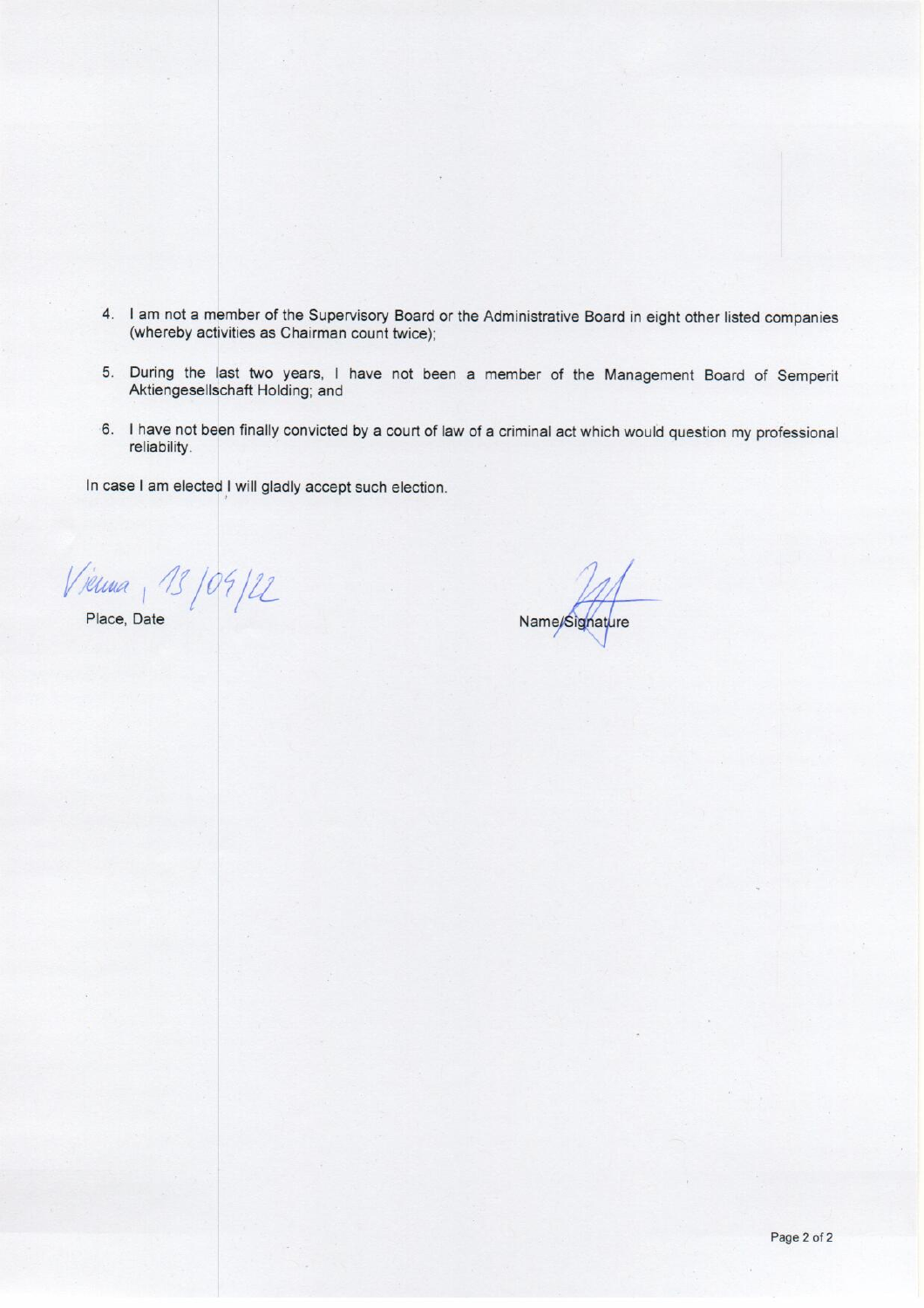- 4. I am not a member of the Supervisory Board or the Administrative Board in eight other listed companies (whereby activities as Chairman count twice);
- 5. During the last two years, I have not been a member of the Management Board of Semperit Aktiengesellschaft Holding; and
- 6. I have not been finally convicted by a court of law of a criminal act which would question my professional reliability.

In case I am elected I will gladly accept such election.

Vienna, 13/09/22

Place, Date

Name/Signature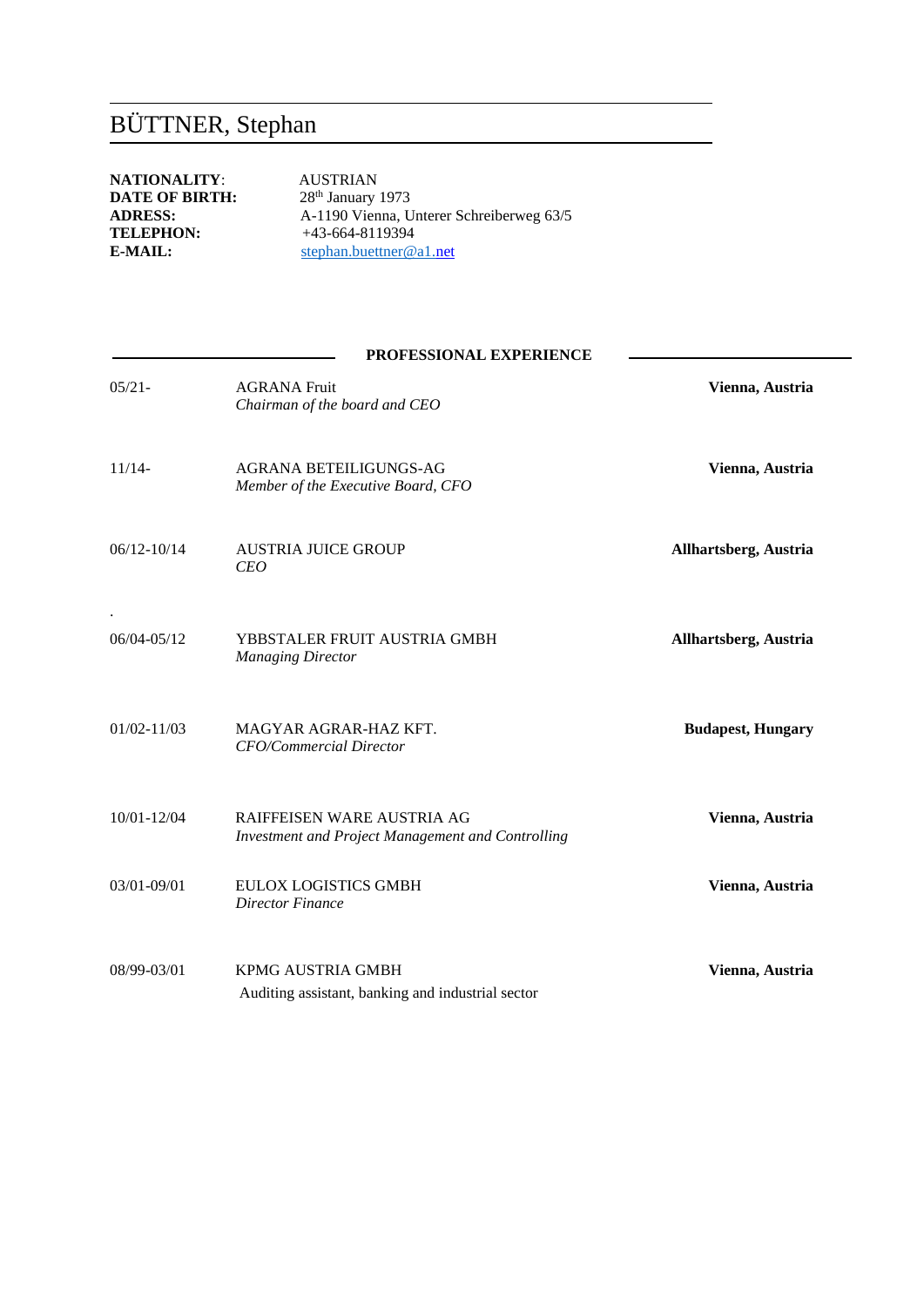## BÜTTNER, Stephan

**NATIONALITY:** AUSTRIAN<br>**DATE OF BIRTH:** 28<sup>th</sup> January 1973 **DATE OF BIRTH:**<br>ADRESS: **TELEPHON:**  $+43-664-8119394$ <br>**E-MAIL:** stephan.buettner@

**ADRESS:** A-1190 Vienna, Unterer Schreiberweg 63/5<br>TELEPHON: +43-664-8119394 stephan.buettner@a1.net

## **PROFESSIONAL EXPERIENCE**

| $05/21 -$       | <b>AGRANA Fruit</b><br>Chairman of the board and CEO                                   | Vienna, Austria          |
|-----------------|----------------------------------------------------------------------------------------|--------------------------|
| $11/14-$        | AGRANA BETEILIGUNGS-AG<br>Member of the Executive Board, CFO                           | Vienna, Austria          |
| $06/12 - 10/14$ | <b>AUSTRIA JUICE GROUP</b><br>CEO                                                      | Allhartsberg, Austria    |
| 06/04-05/12     | YBBSTALER FRUIT AUSTRIA GMBH<br><b>Managing Director</b>                               | Allhartsberg, Austria    |
| $01/02 - 11/03$ | MAGYAR AGRAR-HAZ KFT.<br><b>CFO/Commercial Director</b>                                | <b>Budapest, Hungary</b> |
| 10/01-12/04     | RAIFFEISEN WARE AUSTRIA AG<br><b>Investment and Project Management and Controlling</b> | Vienna, Austria          |
| $03/01 - 09/01$ | <b>EULOX LOGISTICS GMBH</b><br>Director Finance                                        | Vienna, Austria          |
| 08/99-03/01     | <b>KPMG AUSTRIA GMBH</b><br>Auditing assistant, banking and industrial sector          | Vienna, Austria          |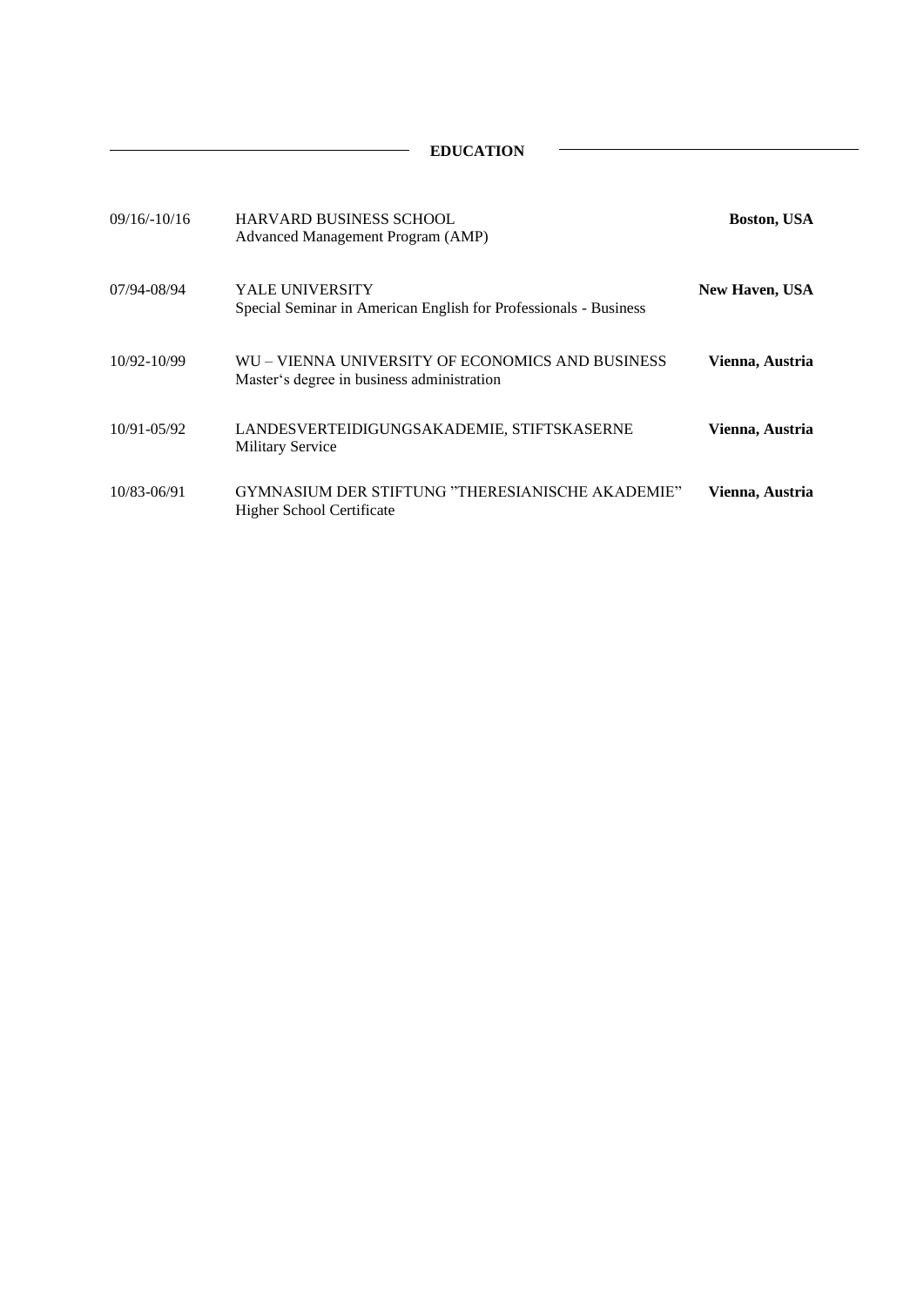$\overline{\phantom{a}}$ 

| $09/16/-10/16$ | <b>HARVARD BUSINESS SCHOOL</b><br>Advanced Management Program (AMP)                            | <b>Boston, USA</b>    |
|----------------|------------------------------------------------------------------------------------------------|-----------------------|
| 07/94-08/94    | YALE UNIVERSITY<br>Special Seminar in American English for Professionals - Business            | <b>New Haven, USA</b> |
| 10/92-10/99    | WU – VIENNA UNIVERSITY OF ECONOMICS AND BUSINESS<br>Master's degree in business administration | Vienna, Austria       |
| 10/91-05/92    | LANDESVERTEIDIGUNGSAKADEMIE, STIFTSKASERNE<br><b>Military Service</b>                          | Vienna, Austria       |
| 10/83-06/91    | GYMNASIUM DER STIFTUNG "THERESIANISCHE AKADEMIE"<br>Higher School Certificate                  | Vienna, Austria       |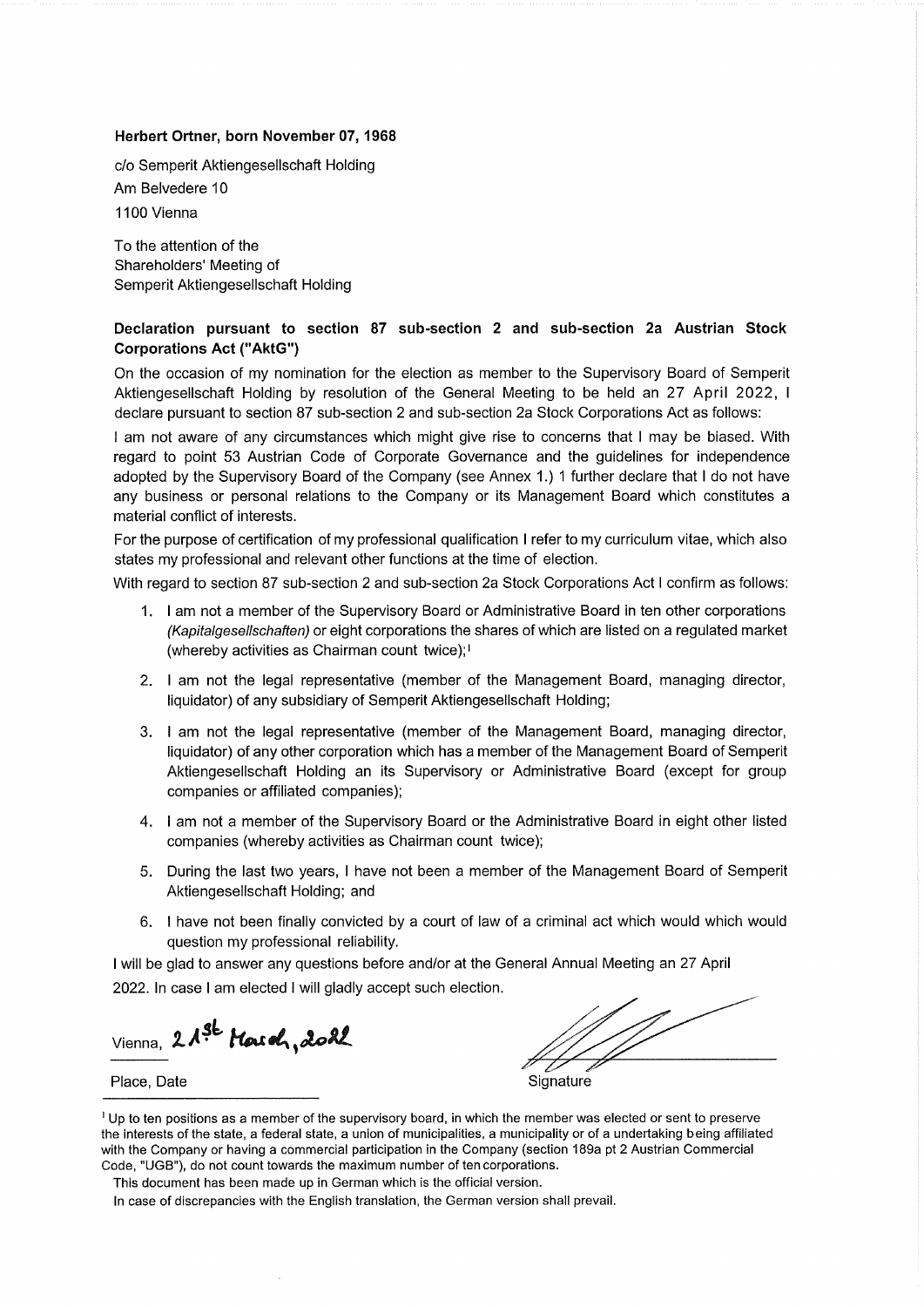#### Herbert Ortner, born November 07, 1968

c/o Semperit Aktiengesellschaft Holding Am Belvedere 10 1100 Vienna

To the attention of the Shareholders' Meeting of Semperit Aktiengesellschaft Holding

#### Declaration pursuant to section 87 sub-section 2 and sub-section 2a Austrian Stock **Corporations Act ("AktG")**

On the occasion of my nomination for the election as member to the Supervisory Board of Semperit Aktiengesellschaft Holding by resolution of the General Meeting to be held an 27 April 2022, I declare pursuant to section 87 sub-section 2 and sub-section 2a Stock Corporations Act as follows:

I am not aware of any circumstances which might give rise to concerns that I may be biased. With regard to point 53 Austrian Code of Corporate Governance and the guidelines for independence adopted by the Supervisory Board of the Company (see Annex 1.) 1 further declare that I do not have any business or personal relations to the Company or its Management Board which constitutes a material conflict of interests.

For the purpose of certification of my professional qualification I refer to my curriculum vitae, which also states my professional and relevant other functions at the time of election.

With regard to section 87 sub-section 2 and sub-section 2a Stock Corporations Act I confirm as follows:

- 1. I am not a member of the Supervisory Board or Administrative Board in ten other corporations (Kapitalgesellschaften) or eight corporations the shares of which are listed on a regulated market (whereby activities as Chairman count twice);<sup>1</sup>
- 2. I am not the legal representative (member of the Management Board, managing director, liquidator) of any subsidiary of Semperit Aktiengesellschaft Holding;
- 3. I am not the legal representative (member of the Management Board, managing director, liquidator) of any other corporation which has a member of the Management Board of Semperit Aktiengesellschaft Holding an its Supervisory or Administrative Board (except for group companies or affiliated companies);
- 4. I am not a member of the Supervisory Board or the Administrative Board in eight other listed companies (whereby activities as Chairman count twice);
- 5. During the last two years, I have not been a member of the Management Board of Semperit Aktiengesellschaft Holding; and
- 6. I have not been finally convicted by a court of law of a criminal act which would which would question my professional reliability.

I will be glad to answer any questions before and/or at the General Annual Meeting an 27 April 2022. In case I am elected I will gladly accept such election.

Vienna, 21<sup>gt</sup> March, 2022

Place, Date

Signature

<sup>1</sup> Up to ten positions as a member of the supervisory board, in which the member was elected or sent to preserve the interests of the state, a federal state, a union of municipalities, a municipality or of a undertaking being affiliated with the Company or having a commercial participation in the Company (section 189a pt 2 Austrian Commercial Code, "UGB"), do not count towards the maximum number of ten corporations.

This document has been made up in German which is the official version.

In case of discrepancies with the English translation, the German version shall prevail.